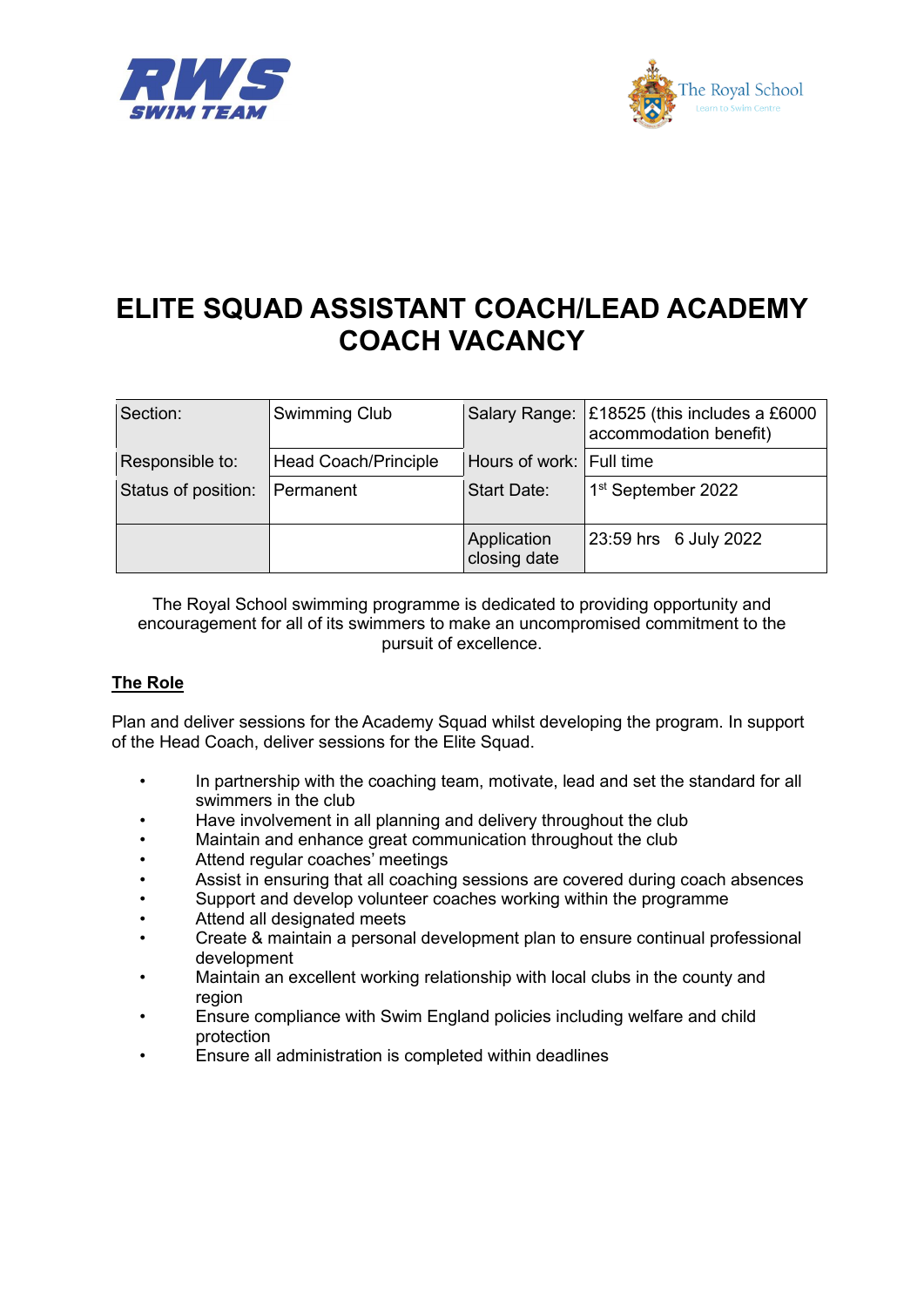



## **ELITE SQUAD ASSISTANT COACH/LEAD ACADEMY COACH VACANCY**

| Section:            | Swimming Club        |                             | Salary Range: £18525 (this includes a £6000<br>accommodation benefit) |
|---------------------|----------------------|-----------------------------|-----------------------------------------------------------------------|
| Responsible to:     | Head Coach/Principle | Hours of work: Full time    |                                                                       |
| Status of position: | Permanent            | <b>Start Date:</b>          | 1 <sup>st</sup> September 2022                                        |
|                     |                      | Application<br>closing date | 23:59 hrs 6 July 2022                                                 |

The Royal School swimming programme is dedicated to providing opportunity and encouragement for all of its swimmers to make an uncompromised commitment to the pursuit of excellence.

## **The Role**

Plan and deliver sessions for the Academy Squad whilst developing the program. In support of the Head Coach, deliver sessions for the Elite Squad.

- In partnership with the coaching team, motivate, lead and set the standard for all swimmers in the club
- Have involvement in all planning and delivery throughout the club
- Maintain and enhance great communication throughout the club
- Attend regular coaches' meetings
- Assist in ensuring that all coaching sessions are covered during coach absences
- Support and develop volunteer coaches working within the programme
- Attend all designated meets
- Create & maintain a personal development plan to ensure continual professional development
- Maintain an excellent working relationship with local clubs in the county and region
- Ensure compliance with Swim England policies including welfare and child protection
- Ensure all administration is completed within deadlines